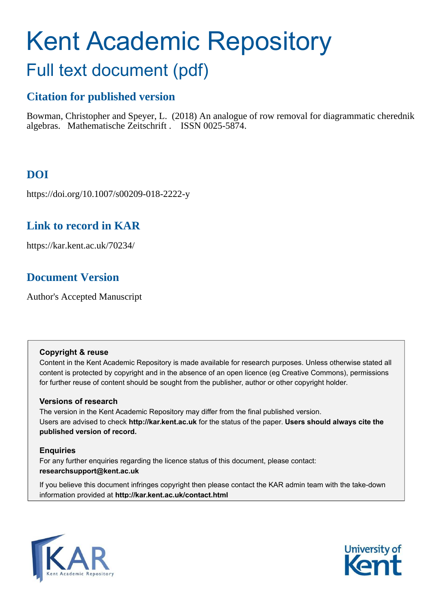# <span id="page-0-0"></span>Kent Academic Repository

## Full text document (pdf)

## **Citation for published version**

Bowman, Christopher and Speyer, L. (2018) An analogue of row removal for diagrammatic cherednik algebras. Mathematische Zeitschrift . ISSN 0025-5874.

## **DOI**

https://doi.org/10.1007/s00209-018-2222-y

## **Link to record in KAR**

https://kar.kent.ac.uk/70234/

## **Document Version**

Author's Accepted Manuscript

#### **Copyright & reuse**

Content in the Kent Academic Repository is made available for research purposes. Unless otherwise stated all content is protected by copyright and in the absence of an open licence (eg Creative Commons), permissions for further reuse of content should be sought from the publisher, author or other copyright holder.

#### **Versions of research**

The version in the Kent Academic Repository may differ from the final published version. Users are advised to check **http://kar.kent.ac.uk** for the status of the paper. **Users should always cite the published version of record.**

#### **Enquiries**

For any further enquiries regarding the licence status of this document, please contact: **researchsupport@kent.ac.uk**

If you believe this document infringes copyright then please contact the KAR admin team with the take-down information provided at **http://kar.kent.ac.uk/contact.html**



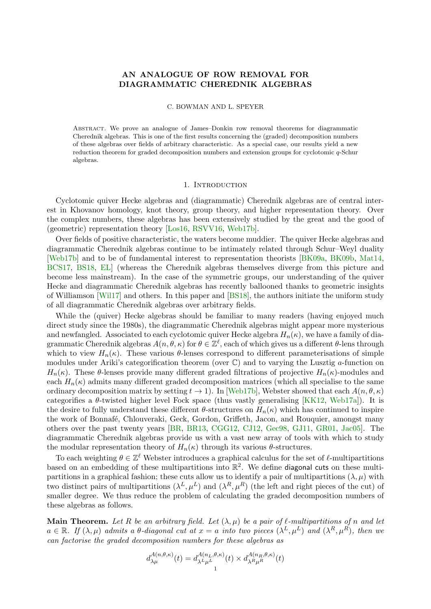#### <span id="page-1-1"></span>AN ANALOGUE OF ROW REMOVAL FOR DIAGRAMMATIC CHEREDNIK ALGEBRAS

#### C. BOWMAN AND L. SPEYER

Abstract. We prove an analogue of James–Donkin row removal theorems for diagrammatic Cherednik algebras. This is one of the first results concerning the (graded) decomposition numbers of these algebras over fields of arbitrary characteristic. As a special case, our results yield a new reduction theorem for graded decomposition numbers and extension groups for cyclotomic q-Schur algebras.

#### 1. INTRODUCTION

Cyclotomic quiver Hecke algebras and (diagrammatic) Cherednik algebras are of central interest in Khovanov homology, knot theory, group theory, and higher representation theory. Over the complex numbers, these algebras has been extensively studied by the great and the good of (geometric) representation theory [\[Los16,](#page-14-0) [RSVV16,](#page-14-1) [Web17b\]](#page-14-2).

Over fields of positive characteristic, the waters become muddier. The quiver Hecke algebras and diagrammatic Cherednik algebras continue to be intimately related through Schur–Weyl duality [\[Web17b\]](#page-14-2) and to be of fundamental interest to representation theorists [\[BK09a,](#page-14-3) [BK09b,](#page-14-4) [Mat14,](#page-14-5) [BCS17,](#page-14-6) [BS18,](#page-14-7) [EL\]](#page-14-8) (whereas the Cherednik algebras themselves diverge from this picture and become less mainstream). In the case of the symmetric groups, our understanding of the quiver Hecke and diagrammatic Cherednik algebras has recently ballooned thanks to geometric insights of Williamson [\[Wil17\]](#page-15-0) and others. In this paper and [\[BS18\]](#page-14-7), the authors initiate the uniform study of all diagrammatic Cherednik algebras over arbitrary fields.

<span id="page-1-0"></span>While the (quiver) Hecke algebras should be familiar to many readers (having enjoyed much direct study since the 1980s), the diagrammatic Cherednik algebras might appear more mysterious and newfangled. Associated to each cyclotomic quiver Hecke algebra  $H_n(\kappa)$ , we have a family of diagrammatic Cherednik algebras  $A(n, \theta, \kappa)$  for  $\theta \in \mathbb{Z}^{\ell}$ , each of which gives us a different  $\theta$ -lens through which to view  $H_n(\kappa)$ . These various  $\theta$ -lenses correspond to different parameterisations of simple modules under Ariki's categorification theorem (over  $\mathbb{C}$ ) and to varying the Lusztig *a*-function on  $H_n(\kappa)$ . These  $\theta$ -lenses provide many different graded filtrations of projective  $H_n(\kappa)$ -modules and each  $H_n(\kappa)$  admits many different graded decomposition matrices (which all specialise to the same ordinary decomposition matrix by setting  $t \to 1$ ). In [\[Web17b\]](#page-14-2), Webster showed that each  $A(n, \theta, \kappa)$ categorifies a  $\theta$ -twisted higher level Fock space (thus vastly generalising [\[KK12,](#page-14-9) [Web17a\]](#page-14-10)). It is the desire to fully understand these different  $\theta$ -structures on  $H_n(\kappa)$  which has continued to inspire the work of Bonnafé, Chlouveraki, Geck, Gordon, Griffeth, Jacon, and Rouquier, amongst many others over the past twenty years [\[BR,](#page-14-11) [BR13,](#page-14-12) [CGG12,](#page-14-13) [CJ12,](#page-14-14) [Gec98,](#page-14-15) [GJ11,](#page-14-16) [GR01,](#page-14-17) [Jac05\]](#page-14-18). The diagrammatic Cherednik algebras provide us with a vast new array of tools with which to study the modular representation theory of  $H_n(\kappa)$  through its various  $\theta$ -structures.

To each weighting  $\theta \in \mathbb{Z}^{\ell}$  Webster introduces a graphical calculus for the set of  $\ell$ -multipartitions based on an embedding of these multipartitions into  $\mathbb{R}^2$ . We define **diagonal cuts** on these multipartitions in a graphical fashion; these cuts allow us to identify a pair of multipartitions  $(\lambda, \mu)$  with two distinct pairs of multipartitions  $(\lambda^L, \mu^L)$  and  $(\lambda^R, \mu^R)$  (the left and right pieces of the cut) of smaller degree. We thus reduce the problem of calculating the graded decomposition numbers of these algebras as follows.

**Main Theorem.** Let R be an arbitrary field. Let  $(\lambda, \mu)$  be a pair of  $\ell$ -multipartitions of n and let  $a \in \mathbb{R}$ . If  $(\lambda, \mu)$  admits a  $\theta$ -diagonal cut at  $x = a$  into two pieces  $(\lambda^L, \mu^L)$  and  $(\lambda^R, \mu^R)$ , then we can factorise the graded decomposition numbers for these algebras as

$$
d_{\lambda\mu}^{A(n,\theta,\kappa)}(t) = d_{\lambda^L\mu^L}^{A(n_L,\theta,\kappa)}(t) \times d_{\lambda^R\mu^R}^{A(n_R,\theta,\kappa)}(t)
$$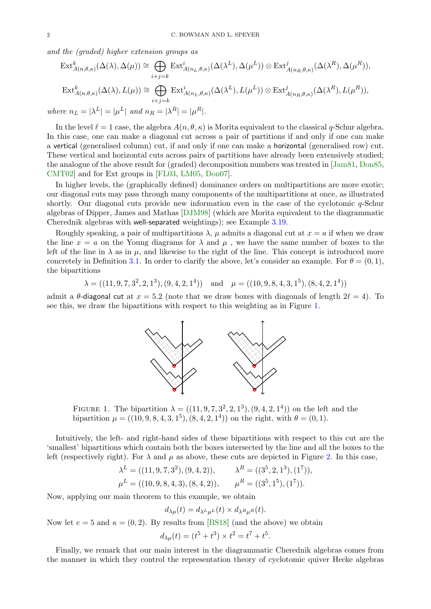<span id="page-2-2"></span><span id="page-2-0"></span>and the (graded) higher extension groups as

$$
\operatorname{Ext}_{A(n,\theta,\kappa)}^{k}(\Delta(\lambda),\Delta(\mu)) \cong \bigoplus_{i+j=k} \operatorname{Ext}_{A(n_{L},\theta,\kappa)}^{i}(\Delta(\lambda^{L}),\Delta(\mu^{L})) \otimes \operatorname{Ext}_{A(n_{R},\theta,\kappa)}^{j}(\Delta(\lambda^{R}),\Delta(\mu^{R})),
$$
  

$$
\operatorname{Ext}_{A(n,\theta,\kappa)}^{k}(\Delta(\lambda),L(\mu)) \cong \bigoplus_{i+j=k} \operatorname{Ext}_{A(n_{L},\theta,\kappa)}^{i}(\Delta(\lambda^{L}),L(\mu^{L})) \otimes \operatorname{Ext}_{A(n_{R},\theta,\kappa)}^{j}(\Delta(\lambda^{R}),L(\mu^{R})),
$$
  
where  $n_{L} = |\lambda^{L}| = |\mu^{L}|$  and  $n_{R} = |\lambda^{R}| = |\mu^{R}|$ .

In the level  $\ell = 1$  case, the algebra  $A(n, \theta, \kappa)$  is Morita equivalent to the classical q-Schur algebra. In this case, one can make a diagonal cut across a pair of partitions if and only if one can make a vertical (generalised column) cut, if and only if one can make a horizontal (generalised row) cut. These vertical and horizontal cuts across pairs of partitions have already been extensively studied; the analogue of the above result for (graded) decomposition numbers was treated in [\[Jam81,](#page-14-19) [Don85,](#page-14-20) [CMT02\]](#page-14-21) and for Ext groups in [\[FL03,](#page-14-22) [LM05,](#page-14-23) [Don07\]](#page-14-24).

In higher levels, the (graphically defined) dominance orders on multipartitions are more exotic; our diagonal cuts may pass through many components of the multipartitions at once, as illustrated shortly. Our diagonal cuts provide new information even in the case of the cyclotomic  $q$ -Schur algebras of Dipper, James and Mathas [\[DJM98\]](#page-14-25) (which are Morita equivalent to the diagrammatic Cherednik algebras with well-separated weightings); see Example [3.19.](#page-13-0)

Roughly speaking, a pair of multipartitions  $\lambda$ ,  $\mu$  admits a diagonal cut at  $x = a$  if when we draw the line  $x = a$  on the Young diagrams for  $\lambda$  and  $\mu$ , we have the same number of boxes to the left of the line in  $\lambda$  as in  $\mu$ , and likewise to the right of the line. This concept is introduced more concretely in Definition [3.1.](#page-8-0) In order to clarify the above, let's consider an example. For  $\theta = (0, 1)$ , the bipartitions

$$
\lambda = ((11, 9, 7, 3^2, 2, 1^3), (9, 4, 2, 1^4))
$$
 and  $\mu = ((10, 9, 8, 4, 3, 1^5), (8, 4, 2, 1^4))$ 

admit a  $\theta$ -diagonal cut at  $x = 5.2$  (note that we draw boxes with diagonals of length  $2\ell = 4$ ). To see this, we draw the bipartitions with respect to this weighting as in Figure [1.](#page-1-0)



<span id="page-2-1"></span>FIGURE 1. The bipartition  $\lambda = ((11, 9, 7, 3^2, 2, 1^3), (9, 4, 2, 1^4))$  on the left and the bipartition  $\mu = ((10, 9, 8, 4, 3, 1^5), (8, 4, 2, 1^4))$  on the right, with  $\theta = (0, 1)$ .

Intuitively, the left- and right-hand sides of these bipartitions with respect to this cut are the 'smallest' bipartitions which contain both the boxes intersected by the line and all the boxes to the left (respectively right). For  $\lambda$  and  $\mu$  as above, these cuts are depicted in Figure [2.](#page-2-0) In this case,

$$
\lambda^{L} = ((11, 9, 7, 3^{2}), (9, 4, 2)), \qquad \lambda^{R} = ((3^{5}, 2, 1^{3}), (1^{7})),
$$
  

$$
\mu^{L} = ((10, 9, 8, 4, 3), (8, 4, 2)), \qquad \mu^{R} = ((3^{5}, 1^{5}), (1^{7})).
$$

Now, applying our main theorem to this example, we obtain

$$
d_{\lambda\mu}(t) = d_{\lambda^L\mu^L}(t) \times d_{\lambda^R\mu^R}(t).
$$

Now let  $e = 5$  and  $\kappa = (0, 2)$ . By results from [\[BS18\]](#page-14-7) (and the above) we obtain

$$
d_{\lambda\mu}(t) = (t^5 + t^3) \times t^2 = t^7 + t^5.
$$

Finally, we remark that our main interest in the diagrammatic Cherednik algebras comes from the manner in which they control the representation theory of cyclotomic quiver Hecke algebras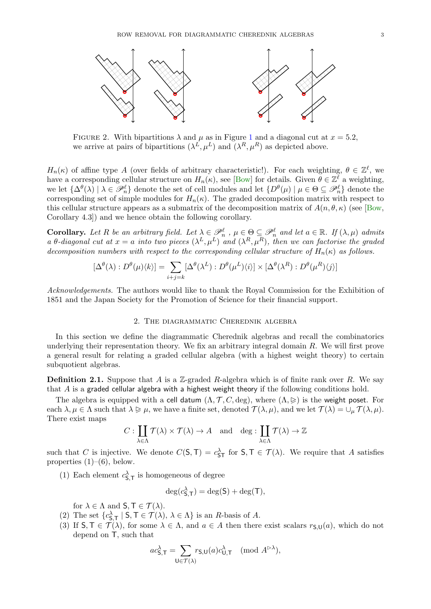<span id="page-3-2"></span>

FIGURE 2. With bipartitions  $\lambda$  and  $\mu$  as in Figure [1](#page-1-0) and a diagonal cut at  $x = 5.2$ , we arrive at pairs of bipartitions  $(\lambda^L, \mu^L)$  and  $(\lambda^R, \mu^R)$  as depicted above.

 $H_n(\kappa)$  of affine type A (over fields of arbitrary characteristic!). For each weighting,  $\theta \in \mathbb{Z}^{\ell}$ , we have a corresponding cellular structure on  $H_n(\kappa)$ , see [\[Bow\]](#page-14-26) for details. Given  $\theta \in \mathbb{Z}^{\ell}$  a weighting, we let  $\{\Delta^{\theta}(\lambda) \mid \lambda \in \mathscr{P}_n^{\ell}\}\$  denote the set of cell modules and let  $\{D^{\theta}(\mu) \mid \mu \in \Theta \subseteq \mathscr{P}_n^{\ell}\}\$  denote the corresponding set of simple modules for  $H_n(\kappa)$ . The graded decomposition matrix with respect to this cellular structure appears as a submatrix of the decomposition matrix of  $A(n, \theta, \kappa)$  (see [\[Bow,](#page-14-26) Corollary 4.3]) and we hence obtain the following corollary.

<span id="page-3-0"></span>**Corollary.** Let R be an arbitrary field. Let  $\lambda \in \mathcal{P}_n^{\ell}$ ,  $\mu \in \Theta \subseteq \mathcal{P}_n^{\ell}$  and let  $a \in \mathbb{R}$ . If  $(\lambda, \mu)$  admits a  $\theta$ -diagonal cut at  $x = a$  into two pieces  $(\lambda^L, \mu^L)$  and  $(\lambda^R, \mu^R)$ , then we can factorise the graded decomposition numbers with respect to the corresponding cellular structure of  $H_n(\kappa)$  as follows.

$$
[\Delta^{\theta}(\lambda) : D^{\theta}(\mu)\langle k\rangle] = \sum_{i+j=k} [\Delta^{\theta}(\lambda^{L}) : D^{\theta}(\mu^{L})\langle i\rangle] \times [\Delta^{\theta}(\lambda^{R}) : D^{\theta}(\mu^{R})\langle j\rangle]
$$

Acknowledgements. The authors would like to thank the Royal Commission for the Exhibition of 1851 and the Japan Society for the Promotion of Science for their financial support.

#### 2. The diagrammatic Cherednik algebra

<span id="page-3-1"></span>In this section we define the diagrammatic Cherednik algebras and recall the combinatorics underlying their representation theory. We fix an arbitrary integral domain R. We will first prove a general result for relating a graded cellular algebra (with a highest weight theory) to certain subquotient algebras.

**Definition 2.1.** Suppose that A is a Z-graded R-algebra which is of finite rank over R. We say that  $\tilde{A}$  is a graded cellular algebra with a highest weight theory if the following conditions hold.

The algebra is equipped with a cell datum  $(\Lambda, \mathcal{T}, C, \deg)$ , where  $(\Lambda, \geq)$  is the weight poset. For each  $\lambda, \mu \in \Lambda$  such that  $\lambda \geqslant \mu$ , we have a finite set, denoted  $\mathcal{T}(\lambda, \mu)$ , and we let  $\mathcal{T}(\lambda) = \cup_{\mu} \mathcal{T}(\lambda, \mu)$ . There exist maps

$$
C: \coprod_{\lambda \in \Lambda} \mathcal{T}(\lambda) \times \mathcal{T}(\lambda) \to A \quad \text{and} \quad \deg: \coprod_{\lambda \in \Lambda} \mathcal{T}(\lambda) \to \mathbb{Z}
$$

such that C is injective. We denote  $C(\mathsf{S},\mathsf{T})=c_{\mathsf{ST}}^{\lambda}$  for  $\mathsf{S},\mathsf{T}\in\mathcal{T}(\lambda)$ . We require that A satisfies properties  $(1)$ – $(6)$ , below.

(1) Each element  $c_{\mathsf{S},\mathsf{T}}^{\lambda}$  is homogeneous of degree

$$
\deg(c_{\mathsf{S},\mathsf{T}}^{\lambda}) = \deg(\mathsf{S}) + \deg(\mathsf{T}),
$$

for  $\lambda \in \Lambda$  and  $\mathsf{S}, \mathsf{T} \in \mathcal{T}(\lambda)$ .

- (2) The set  $\{c_{\mathsf{S},\mathsf{T}}^{\lambda} \mid \mathsf{S}, \mathsf{T} \in \mathcal{T}(\lambda), \lambda \in \Lambda\}$  is an R-basis of A.
- (3) If  $S, \mathsf{T} \in \mathcal{T}(\lambda)$ , for some  $\lambda \in \Lambda$ , and  $a \in A$  then there exist scalars  $r_{\mathsf{S},\mathsf{U}}(a)$ , which do not depend on T, such that

$$
ac_{\mathsf{S},\mathsf{T}}^{\lambda} = \sum_{\mathsf{U}\in\mathcal{T}(\lambda)} r_{\mathsf{S},\mathsf{U}}(a)c_{\mathsf{U},\mathsf{T}}^{\lambda} \pmod{A^{\triangleright\lambda}},
$$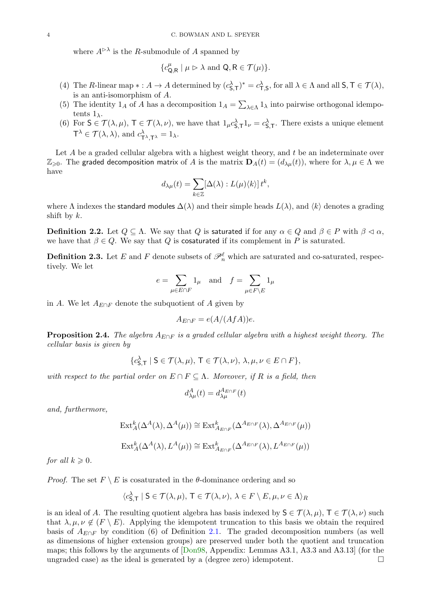<span id="page-4-1"></span>where  $A^{\triangleright \lambda}$  is the R-submodule of A spanned by

$$
\{c_{\mathsf{Q},\mathsf{R}}^{\mu} \mid \mu \vartriangleright \lambda \text{ and } \mathsf{Q}, \mathsf{R} \in \mathcal{T}(\mu)\}.
$$

- (4) The R-linear map  $* : A \to A$  determined by  $(c_{\mathsf{S},\mathsf{T}}^{\lambda})^* = c_{\mathsf{T},\mathsf{S}}^{\lambda}$ , for all  $\lambda \in \Lambda$  and all  $\mathsf{S}, \mathsf{T} \in \mathcal{T}(\lambda)$ , is an anti-isomorphism of A.
- (5) The identity  $1_A$  of A has a decomposition  $1_A = \sum_{\lambda \in \Lambda} 1_{\lambda}$  into pairwise orthogonal idempotents  $1_{\lambda}$ .
- (6) For  $S \in \mathcal{T}(\lambda, \mu)$ ,  $T \in \mathcal{T}(\lambda, \nu)$ , we have that  $1_{\mu} c_{S,\tau}^{\lambda} 1_{\nu} = c_{S,\tau}^{\lambda}$ . There exists a unique element  $T^{\lambda} \in \mathcal{T}(\lambda, \lambda)$ , and  $c_{T^{\lambda}, T^{\lambda}}^{\lambda} = 1_{\lambda}$ .

Let A be a graded cellular algebra with a highest weight theory, and t be an indeterminate over  $\mathbb{Z}_{\geqslant 0}$ . The graded decomposition matrix of A is the matrix  $\mathbf{D}_A(t) = (d_{\lambda\mu}(t))$ , where for  $\lambda, \mu \in \Lambda$  we have

$$
d_{\lambda\mu}(t) = \sum_{k\in\mathbb{Z}} [\Delta(\lambda): L(\mu)\langle k\rangle] t^k,
$$

where  $\Lambda$  indexes the standard modules  $\Delta(\lambda)$  and their simple heads  $L(\lambda)$ , and  $\langle k \rangle$  denotes a grading shift by  $k$ .

**Definition 2.2.** Let  $Q \subseteq \Lambda$ . We say that Q is saturated if for any  $\alpha \in Q$  and  $\beta \in P$  with  $\beta \lhd \alpha$ , we have that  $\beta \in Q$ . We say that Q is cosaturated if its complement in P is saturated.

**Definition 2.3.** Let E and F denote subsets of  $\mathscr{P}_n^{\ell}$  which are saturated and co-saturated, respectively. We let

$$
e=\sum_{\mu\in E\cap F}1_\mu\quad\text{and}\quad f=\sum_{\mu\in F\backslash E}1_\mu
$$

in A. We let  $A_{E\cap F}$  denote the subquotient of A given by

$$
A_{E \cap F} = e(A/(AfA))e.
$$

**Proposition 2.4.** The algebra  $A_{E\cap F}$  is a graded cellular algebra with a highest weight theory. The cellular basis is given by

$$
\{c_{\mathsf{S},\mathsf{T}}^{\lambda} \mid \mathsf{S} \in \mathcal{T}(\lambda,\mu), \mathsf{T} \in \mathcal{T}(\lambda,\nu), \lambda,\mu,\nu \in E \cap F\},\
$$

with respect to the partial order on  $E \cap F \subseteq \Lambda$ . Moreover, if R is a field, then

$$
d^A_{\lambda\mu}(t) = d^{A_{E\cap F}}_{\lambda\mu}(t)
$$

and, furthermore,

$$
\operatorname{Ext}_{A}^{k}(\Delta^{A}(\lambda), \Delta^{A}(\mu)) \cong \operatorname{Ext}_{A_{E \cap F}}^{k}(\Delta^{A_{E \cap F}}(\lambda), \Delta^{A_{E \cap F}}(\mu))
$$
  

$$
\operatorname{Ext}_{A}^{k}(\Delta^{A}(\lambda), L^{A}(\mu)) \cong \operatorname{Ext}_{A_{E \cap F}}^{k}(\Delta^{A_{E \cap F}}(\lambda), L^{A_{E \cap F}}(\mu))
$$

<span id="page-4-0"></span>for all  $k \geqslant 0$ .

*Proof.* The set  $F \setminus E$  is cosaturated in the  $\theta$ -dominance ordering and so

$$
\langle c_{\mathsf{S},\mathsf{T}}^{\lambda} \mid \mathsf{S} \in \mathcal{T}(\lambda,\mu), \mathsf{T} \in \mathcal{T}(\lambda,\nu), \lambda \in F \setminus E, \mu, \nu \in \Lambda \rangle_R
$$

is an ideal of A. The resulting quotient algebra has basis indexed by  $S \in \mathcal{T}(\lambda, \mu)$ ,  $T \in \mathcal{T}(\lambda, \nu)$  such that  $\lambda, \mu, \nu \notin (F \setminus E)$ . Applying the idempotent truncation to this basis we obtain the required basis of  $A_{E\cap F}$  by condition (6) of Definition [2.1.](#page-2-1) The graded decomposition numbers (as well as dimensions of higher extension groups) are preserved under both the quotient and truncation maps; this follows by the arguments of [\[Don98,](#page-14-27) Appendix: Lemmas A3.1, A3.3 and A3.13] (for the ungraded case) as the ideal is generated by a (degree zero) idempotent.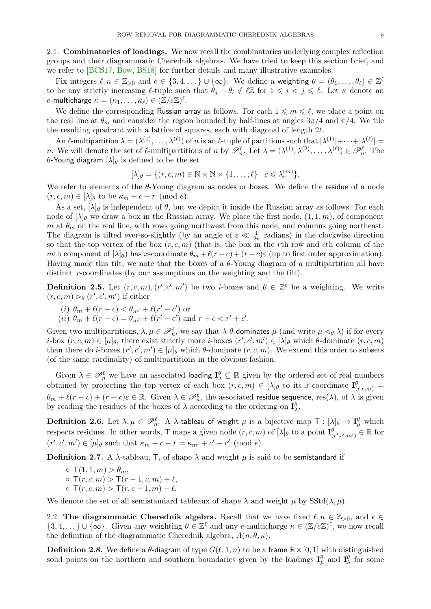<span id="page-5-3"></span>2.1. Combinatorics of loadings. We now recall the combinatorics underlying complex reflection groups and their diagrammatic Cherednik algebras. We have tried to keep this section brief, and we refer to [\[BCS17,](#page-14-6) [Bow,](#page-14-26) [BS18\]](#page-14-7) for further details and many illustrative examples.

Fix integers  $\ell, n \in \mathbb{Z}_{\geqslant 0}$  and  $e \in \{3, 4, \dots\} \cup \{\infty\}$ . We define a weighting  $\theta = (\theta_1, \dots, \theta_\ell) \in \mathbb{Z}^\ell$ to be any strictly increasing  $\ell$ -tuple such that  $\theta_j - \theta_i \notin \ell \mathbb{Z}$  for  $1 \leq i \leq j \leq \ell$ . Let  $\kappa$  denote an e-multicharge  $\kappa = (\kappa_1, \ldots, \kappa_\ell) \in (\mathbb{Z}/e\mathbb{Z})^\ell.$ 

We define the corresponding Russian array as follows. For each  $1 \leq m \leq \ell$ , we place a point on the real line at  $\theta_m$  and consider the region bounded by half-lines at angles  $3\pi/4$  and  $\pi/4$ . We tile the resulting quadrant with a lattice of squares, each with diagonal of length 2ℓ.

<span id="page-5-0"></span>An  $\ell$ -multipartition  $\lambda = (\lambda^{(1)},\ldots,\lambda^{(\ell)})$  of n is an  $\ell$ -tuple of partitions such that  $|\lambda^{(1)}|+\cdots+|\lambda^{(\ell)}| =$ *n*. We will denote the set of  $\ell$ -multipartitions of *n* by  $\mathscr{P}_n^{\ell}$ . Let  $\lambda = (\lambda^{(1)}, \lambda^{(2)}, \ldots, \lambda^{(\ell)}) \in \mathscr{P}_n^{\ell}$ . The θ-Young diagram  $[\lambda]_\theta$  is defined to be the set

$$
[\lambda]_{\theta} = \{ (r, c, m) \in \mathbb{N} \times \mathbb{N} \times \{1, \dots, \ell\} \mid c \leqslant \lambda_r^{(m)} \}.
$$

We refer to elements of the  $\theta$ -Young diagram as nodes or boxes. We define the residue of a node  $(r, c, m) \in [\lambda]_{\theta}$  to be  $\kappa_m + c - r \pmod{e}$ .

As a set,  $[\lambda]_\theta$  is independent of  $\theta$ , but we depict it inside the Russian array as follows. For each node of  $[\lambda]_\theta$  we draw a box in the Russian array. We place the first node,  $(1, 1, m)$ , of component m at  $\theta_m$  on the real line, with rows going northwest from this node, and columns going northeast. The diagram is tilted ever-so-slightly (by an angle of  $\varepsilon \ll \frac{1}{2n}$  radians) in the clockwise direction so that the top vertex of the box  $(r, c, m)$  (that is, the box in the rth row and cth column of the mth component of  $[\lambda]_{\theta}$ ) has x-coordinate  $\theta_m + \ell(r-c) + (r+c)\varepsilon$  (up to first order approximation). Having made this tilt, we note that the boxes of a  $\theta$ -Young diagram of a multipartition all have distinct x-coordinates (by our assumptions on the weighting and the tilt).

**Definition 2.5.** Let  $(r, c, m)$ ,  $(r', c', m')$  be two *i*-boxes and  $\theta \in \mathbb{Z}^{\ell}$  be a weighting. We write  $(r, c, m) \triangleright_{\theta} (r', c', m')$  if either

- (*i*)  $\theta_m + \ell(r c) < \theta_{m'} + \ell(r' c')$  or
- (*ii*)  $\theta_m + \ell(r c) = \theta_{m'} + \ell(r' c')$  and  $r + c < r' + c'$ .

<span id="page-5-1"></span>Given two multipartitions,  $\lambda, \mu \in \mathscr{P}_n^{\ell}$ , we say that  $\lambda$   $\theta$ -dominates  $\mu$  (and write  $\mu \lhd_{\theta} \lambda$ ) if for every *i*-box  $(r, c, m) \in [\mu]_\theta$ , there exist strictly more *i*-boxes  $(r', c', m') \in [\lambda]_\theta$  which  $\theta$ -dominate  $(r, c, m)$ than there do *i*-boxes  $(r', c', m') \in [\mu]_\theta$  which  $\theta$ -dominate  $(r, c, m)$ . We extend this order to subsets (of the same cardinality) of multipartitions in the obvious fashion.

Given  $\lambda \in \mathscr{P}_n^{\ell}$  we have an associated loading  $\mathbf{I}_{\lambda}^{\theta} \subseteq \mathbb{R}$  given by the ordered set of real numbers obtained by projecting the top vertex of each box  $(r, c, m) \in [\lambda]_{\theta}$  to its x-coordinate  $\mathbf{I}^{\theta}_{(r,c,m)} =$  $\theta_m + \ell(r-c) + (r+c)\varepsilon \in \mathbb{R}$ . Given  $\lambda \in \mathscr{P}_n^{\ell}$ , the associated residue sequence, res( $\lambda$ ), of  $\lambda$  is given by reading the residues of the boxes of  $\lambda$  according to the ordering on  $\mathbf{I}_{\lambda}^{\theta}$ .

 $\bf{Definition\ 2.6. \: Let\: \lambda, \mu \in \mathscr{P}_n^\ell. \: \: A \; \lambda\text{-tableau of weight $\mu$ is a bijective map $\mathsf{T} : [\lambda]_\theta \to \mathbf{I}_\mu^\theta$ which}$ respects residues. In other words,  $\mathsf{T}$  maps a given node  $(r, c, m)$  of  $[\lambda]_{\theta}$  to a point  $\mathbf{I}^{\theta}_{(r', c', m')} \in \mathbb{R}$  for  $(r', c', m') \in [\mu]_{\theta}$  such that  $\kappa_m + c - r = \kappa_{m'} + c' - r' \pmod{e}$ .

**Definition 2.7.** A  $\lambda$ -tableau, T, of shape  $\lambda$  and weight  $\mu$  is said to be semistandard if

 $\circ$   $\mathsf{T}(1,1,m) > \theta_m$ ,  $\sigma$   $\overline{T(r, c, m)} > \overline{T(r - 1, c, m)} + \ell,$  $\circ$  T(r, c, m) > T(r, c – 1, m) –  $\ell$ .

We denote the set of all semistandard tableaux of shape  $\lambda$  and weight  $\mu$  by SStd( $\lambda, \mu$ ).

<span id="page-5-2"></span>2.2. The diagrammatic Cherednik algebra. Recall that we have fixed  $\ell, n \in \mathbb{Z}_{>0}$ , and  $e \in$  $\{3, 4, ...\}\cup \{\infty\}.$  Given any weighting  $\theta \in \mathbb{Z}^{\ell}$  and any e-multicharge  $\kappa \in (\mathbb{Z}/e\mathbb{Z})^{\ell}$ , we now recall the definition of the diagrammatic Cherednik algebra,  $A(n, \theta, \kappa)$ .

**Definition 2.8.** We define a  $\theta$ -diagram of type  $G(\ell, 1, n)$  to be a frame  $\mathbb{R} \times [0, 1]$  with distinguished solid points on the northern and southern boundaries given by the loadings  $I^{\theta}_{\mu}$  and  $I^{\theta}_{\lambda}$  for some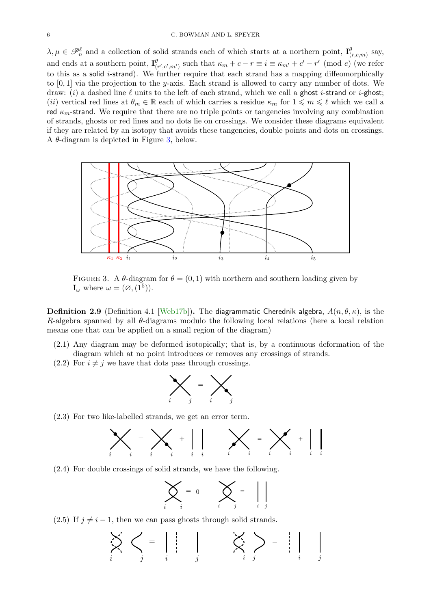<span id="page-6-5"></span><span id="page-6-2"></span> $\lambda, \mu \in \mathscr{P}_n^{\ell}$  and a collection of solid strands each of which starts at a northern point,  $\mathbf{I}_{(r,c,m)}^{\ell}$  say, and ends at a southern point,  $\mathbf{I}^{\theta}_{(r',c',m')}$  such that  $\kappa_m + c - r \equiv i \equiv \kappa_{m'} + c' - r' \pmod{e}$  (we refer to this as a solid *i*-strand). We further require that each strand has a mapping diffeomorphically to  $[0, 1]$  via the projection to the y-axis. Each strand is allowed to carry any number of dots. We draw: (i) a dashed line  $\ell$  units to the left of each strand, which we call a ghost *i*-strand or *i*-ghost; (ii) vertical red lines at  $\theta_m \in \mathbb{R}$  each of which carries a residue  $\kappa_m$  for  $1 \leq m \leq \ell$  which we call a red  $\kappa_m$ -strand. We require that there are no triple points or tangencies involving any combination of strands, ghosts or red lines and no dots lie on crossings. We consider these diagrams equivalent if they are related by an isotopy that avoids these tangencies, double points and dots on crossings. A  $\theta$ -diagram is depicted in Figure [3,](#page-5-0) below.



<span id="page-6-1"></span><span id="page-6-0"></span>FIGURE 3. A  $\theta$ -diagram for  $\theta = (0, 1)$  with northern and southern loading given by  $\mathbf{I}_{\omega}$  where  $\omega = (\varnothing, (1^5)).$ 

**Definition 2.9** (Definition 4.1 [\[Web17b\]](#page-14-2)). The diagrammatic Cherednik algebra,  $A(n, \theta, \kappa)$ , is the R-algebra spanned by all  $\theta$ -diagrams modulo the following local relations (here a local relation means one that can be applied on a small region of the diagram)

- (2.1) Any diagram may be deformed isotopically; that is, by a continuous deformation of the diagram which at no point introduces or removes any crossings of strands.
- $(2.2)$  For  $i \neq j$  we have that dots pass through crossings.



(2.3) For two like-labelled strands, we get an error term.



<span id="page-6-4"></span>(2.4) For double crossings of solid strands, we have the following.

$$
\sum_{i} = 0 \qquad \sum_{i} = \qquad \Big| \Big|
$$

<span id="page-6-3"></span>(2.5) If  $j \neq i - 1$ , then we can pass ghosts through solid strands.

$$
\sum_{i} \left\langle \left\langle \right\rangle \right\rangle = \left\langle \left\langle \right\rangle \right\rangle \left\langle \left\langle \right\rangle \right\rangle = \left\langle \left\langle \right\rangle \right\rangle \left\langle \left\langle \right\rangle \right\rangle = \left\langle \left\langle \right\rangle \right\rangle \left\langle \left\langle \right\rangle \right\rangle = \left\langle \left\langle \right\rangle \right\rangle \left\langle \left\langle \right\rangle \right\rangle
$$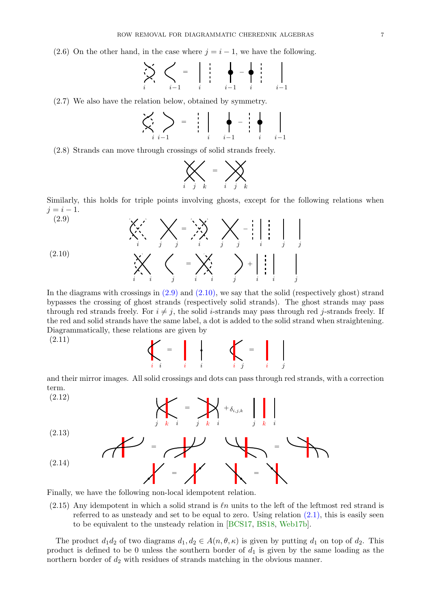<span id="page-7-0"></span>(2.6) On the other hand, in the case where  $j = i - 1$ , we have the following.

$$
\sum_{i} \sum_{i=1}^{n} \left\langle \sum_{i=1}^{n} x_{i} \right\rangle = \left\langle \sum_{i} x_{i} \right\rangle - \left\langle \sum_{i=1}^{n} x_{i} \right\rangle
$$

(2.7) We also have the relation below, obtained by symmetry.

$$
\left\langle \left\langle \left\langle \right\rangle_{i} \right\rangle_{i=1} \right\rangle = \left\langle \left\langle \left\langle \left\langle \right\rangle_{i} \right\rangle_{i=1} \right\rangle_{i=1} \right\rangle - \left\langle \left\langle \left\langle \left\langle \left\langle \left\langle \left\langle \right\rangle_{i} \right\rangle_{i} \right\rangle_{i=1} \right\rangle_{i=1} \right\rangle_{i=1} \right\rangle_{i=1}
$$

(2.8) Strands can move through crossings of solid strands freely.



Similarly, this holds for triple points involving ghosts, except for the following relations when  $j = i - 1.$ 

$$
(2.9)
$$
\n
$$
\begin{array}{ccc}\n\left\langle \begin{array}{c}\n\ddots & \ddots & \ddots \\
\ddots & \ddots & \ddots \\
\end{array}\right\rangle & \begin{array}{c}\n\ddots & \ddots & \ddots \\
\ddots & \ddots & \ddots & \ddots \\
\end{array} & \begin{array}{c}\n\ddots & \ddots & \ddots \\
\ddots & \ddots & \ddots & \ddots \\
\end{array} & \begin{array}{c}\n\ddots & \ddots & \ddots \\
\ddots & \ddots & \ddots & \ddots \\
\end{array} & \begin{array}{c}\n\ddots & \ddots & \ddots \\
\ddots & \ddots & \ddots & \ddots \\
\end{array} & \begin{array}{c}\n\ddots & \ddots & \ddots \\
\ddots & \ddots & \ddots & \ddots \\
\end{array} & \begin{array}{c}\n\ddots & \ddots & \ddots \\
\ddots & \ddots & \ddots & \ddots \\
\end{array}
$$

In the diagrams with crossings in  $(2.9)$  and  $(2.10)$ , we say that the solid (respectively ghost) strand bypasses the crossing of ghost strands (respectively solid strands). The ghost strands may pass through red strands freely. For  $i \neq j$ , the solid *i*-strands may pass through red *j*-strands freely. If the red and solid strands have the same label, a dot is added to the solid strand when straightening. Diagrammatically, these relations are given by

(2.11)



and their mirror images. All solid crossings and dots can pass through red strands, with a correction term.



Finally, we have the following non-local idempotent relation.

 $(2.15)$  Any idempotent in which a solid strand is  $ln$  units to the left of the leftmost red strand is referred to as unsteady and set to be equal to zero. Using relation  $(2.1)$ , this is easily seen to be equivalent to the unsteady relation in [\[BCS17,](#page-14-6) [BS18,](#page-14-7) [Web17b\]](#page-14-2).

The product  $d_1 d_2$  of two diagrams  $d_1, d_2 \in A(n, \theta, \kappa)$  is given by putting  $d_1$  on top of  $d_2$ . This product is defined to be 0 unless the southern border of  $d_1$  is given by the same loading as the northern border of  $d_2$  with residues of strands matching in the obvious manner.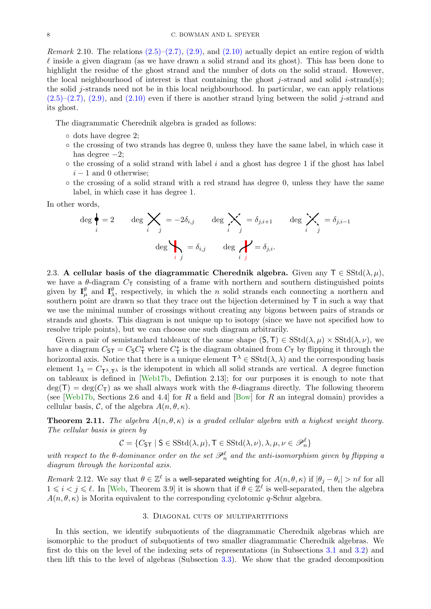<span id="page-8-7"></span><span id="page-8-1"></span>*Remark* 2.10. The relations  $(2.5)$ – $(2.7)$ ,  $(2.9)$ , and  $(2.10)$  actually depict an entire region of width  $\ell$  inside a given diagram (as we have drawn a solid strand and its ghost). This has been done to highlight the residue of the ghost strand and the number of dots on the solid strand. However, the local neighbourhood of interest is that containing the ghost j-strand and solid i-strand(s); the solid j-strands need not be in this local neighbourhood. In particular, we can apply relations  $(2.5)-(2.7), (2.9),$  $(2.5)-(2.7), (2.9),$  $(2.5)-(2.7), (2.9),$  $(2.5)-(2.7), (2.9),$  and  $(2.10)$  even if there is another strand lying between the solid j-strand and its ghost.

The diagrammatic Cherednik algebra is graded as follows:

- <span id="page-8-6"></span>◦ dots have degree 2;
- $\circ$  the crossing of two strands has degree 0, unless they have the same label, in which case it has degree  $-2$ ;
- $\circ$  the crossing of a solid strand with label i and a ghost has degree 1 if the ghost has label  $i - 1$  and 0 otherwise;
- <span id="page-8-0"></span>◦ the crossing of a solid strand with a red strand has degree 0, unless they have the same label, in which case it has degree 1.

In other words,

$$
\deg \bigg\{\bigg\} = 2 \qquad \deg \bigtimes_{i} = -2\delta_{i,j} \qquad \deg \bigtimes_{i} = \delta_{j,i+1} \qquad \deg \bigtimes_{i} = \delta_{j,i-1}
$$
\n
$$
\deg \bigvee_{i} = \delta_{i,j} \qquad \deg \bigvee_{i} = \delta_{j,i}.
$$

<span id="page-8-5"></span>2.3. A cellular basis of the diagrammatic Cherednik algebra. Given any  $T \in SStd(\lambda, \mu)$ , we have a  $\theta$ -diagram  $C_T$  consisting of a frame with northern and southern distinguished points given by  $I_{\mu}^{\theta}$  and  $I_{\lambda}^{\theta}$ , respectively, in which the *n* solid strands each connecting a northern and southern point are drawn so that they trace out the bijection determined by T in such a way that we use the minimal number of crossings without creating any bigons between pairs of strands or strands and ghosts. This diagram is not unique up to isotopy (since we have not specified how to resolve triple points), but we can choose one such diagram arbitrarily.

Given a pair of semistandard tableaux of the same shape  $(S, T) \in SStd(\lambda, \mu) \times SStd(\lambda, \nu)$ , we have a diagram  $C_{\text{ST}} = C_{\text{S}} C_{\text{T}}^*$  where  $C_{\text{T}}^*$  is the diagram obtained from  $C_{\text{T}}$  by flipping it through the horizontal axis. Notice that there is a unique element  $\mathsf{T}^{\lambda} \in \mathrm{SStd}(\lambda, \lambda)$  and the corresponding basis element  $1_{\lambda} = C_{\tau^{\lambda} \tau^{\lambda}}$  is the idempotent in which all solid strands are vertical. A degree function on tableaux is defined in [\[Web17b,](#page-14-2) Defintion 2.13]; for our purposes it is enough to note that  $deg(T) = deg(C_T)$  as we shall always work with the  $\theta$ -diagrams directly. The following theorem (see [\[Web17b,](#page-14-2) Sections 2.6 and 4.4] for R a field and [\[Bow\]](#page-14-26) for R an integral domain) provides a cellular basis, C, of the algebra  $A(n, \theta, \kappa)$ .

<span id="page-8-2"></span>**Theorem 2.11.** The algebra  $A(n, \theta, \kappa)$  is a graded cellular algebra with a highest weight theory. The cellular basis is given by

$$
\mathcal{C} = \{ C_{\textsf{ST}} \mid \textsf{S} \in \text{SStd}(\lambda, \mu), \textsf{T} \in \text{SStd}(\lambda, \nu), \lambda, \mu, \nu \in \mathscr{P}_n^{\ell} \}
$$

with respect to the  $\theta$ -dominance order on the set  $\mathscr{P}_n^{\ell}$  and the anti-isomorphism given by flipping a diagram through the horizontal axis.

Remark 2.12. We say that  $\theta \in \mathbb{Z}^{\ell}$  is a well-separated weighting for  $A(n, \theta, \kappa)$  if  $|\theta_j - \theta_i| > n\ell$  for all  $1 \leq i \leq j \leq \ell$ . In [\[Web,](#page-14-28) Theorem 3.9] it is shown that if  $\theta \in \mathbb{Z}^{\ell}$  is well-separated, then the algebra  $A(n, \theta, \kappa)$  is Morita equivalent to the corresponding cyclotomic q-Schur algebra.

#### <span id="page-8-3"></span>3. Diagonal cuts of multipartitions

<span id="page-8-4"></span>In this section, we identify subquotients of the diagrammatic Cherednik algebras which are isomorphic to the product of subquotients of two smaller diagrammatic Cherednik algebras. We first do this on the level of the indexing sets of representations (in Subsections [3.1](#page-8-1) and [3.2\)](#page-9-0) and then lift this to the level of algebras (Subsection [3.3\)](#page-10-0). We show that the graded decomposition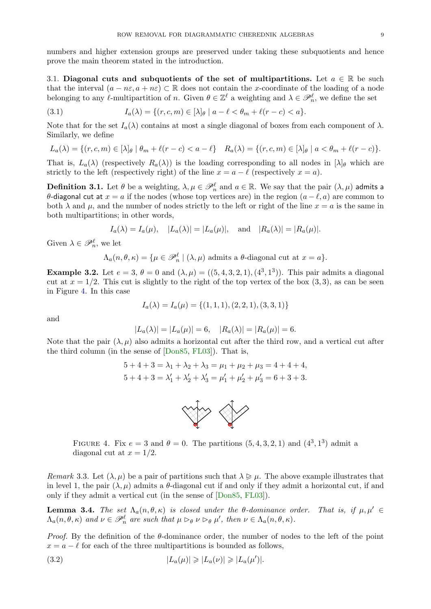numbers and higher extension groups are preserved under taking these subquotients and hence prove the main theorem stated in the introduction.

<span id="page-9-1"></span>3.1. Diagonal cuts and subquotients of the set of multipartitions. Let  $a \in \mathbb{R}$  be such that the interval  $(a - n\varepsilon, a + n\varepsilon) \subset \mathbb{R}$  does not contain the x-coordinate of the loading of a node belonging to any  $\ell$ -multipartition of n. Given  $\theta \in \mathbb{Z}^{\ell}$  a weighting and  $\lambda \in \mathscr{P}_n^{\ell}$ , we define the set

(3.1) 
$$
I_a(\lambda) = \{(r, c, m) \in [\lambda]_\theta \mid a - \ell < \theta_m + \ell(r - c) < a\}.
$$

Note that for the set  $I_a(\lambda)$  contains at most a single diagonal of boxes from each component of  $\lambda$ . Similarly, we define

$$
L_a(\lambda) = \{(r, c, m) \in [\lambda]_\theta \mid \theta_m + \ell(r - c) < a - \ell\} \quad R_a(\lambda) = \{(r, c, m) \in [\lambda]_\theta \mid a < \theta_m + \ell(r - c)\}.
$$

That is,  $L_a(\lambda)$  (respectively  $R_a(\lambda)$ ) is the loading corresponding to all nodes in  $[\lambda]_\theta$  which are strictly to the left (respectively right) of the line  $x = a - \ell$  (respectively  $x = a$ ).

<span id="page-9-0"></span>**Definition 3.1.** Let  $\theta$  be a weighting,  $\lambda, \mu \in \mathscr{P}_n^{\ell}$  and  $a \in \mathbb{R}$ . We say that the pair  $(\lambda, \mu)$  admits a θ-diagonal cut at  $x = a$  if the nodes (whose top vertices are) in the region  $(a - \ell, a)$  are common to both  $\lambda$  and  $\mu$ , and the number of nodes strictly to the left or right of the line  $x = a$  is the same in both multipartitions; in other words,

$$
I_a(\lambda) = I_a(\mu), \quad |L_a(\lambda)| = |L_a(\mu)|, \quad \text{and} \quad |R_a(\lambda)| = |R_a(\mu)|.
$$

Given  $\lambda \in \mathscr{P}_n^{\ell}$ , we let

$$
\Lambda_a(n,\theta,\kappa) = {\mu \in \mathscr{P}_n^{\ell} \mid (\lambda,\mu) \text{ admits a }\theta\text{-diagonal cut at }x = a}.
$$

**Example 3.2.** Let  $e = 3$ ,  $\theta = 0$  and  $(\lambda, \mu) = ((5, 4, 3, 2, 1), (4^3, 1^3))$ . This pair admits a diagonal cut at  $x = 1/2$ . This cut is slightly to the right of the top vertex of the box (3, 3), as can be seen in Figure [4.](#page-8-2) In this case

$$
I_a(\lambda) = I_a(\mu) = \{(1, 1, 1), (2, 2, 1), (3, 3, 1)\}
$$

and

$$
|L_a(\lambda)| = |L_a(\mu)| = 6, \quad |R_a(\lambda)| = |R_a(\mu)| = 6.
$$

<span id="page-9-2"></span>Note that the pair  $(\lambda, \mu)$  also admits a horizontal cut after the third row, and a vertical cut after the third column (in the sense of [\[Don85,](#page-14-20) [FL03\]](#page-14-22)). That is,

$$
5+4+3 = \lambda_1 + \lambda_2 + \lambda_3 = \mu_1 + \mu_2 + \mu_3 = 4 + 4 + 4,
$$
  

$$
5+4+3 = \lambda'_1 + \lambda'_2 + \lambda'_3 = \mu'_1 + \mu'_2 + \mu'_3 = 6 + 3 + 3.
$$



<span id="page-9-3"></span>FIGURE 4. Fix  $e = 3$  and  $\theta = 0$ . The partitions  $(5, 4, 3, 2, 1)$  and  $(4^3, 1^3)$  admit a diagonal cut at  $x = 1/2$ .

Remark 3.3. Let  $(\lambda, \mu)$  be a pair of partitions such that  $\lambda \geq \mu$ . The above example illustrates that in level 1, the pair  $(\lambda, \mu)$  admits a  $\theta$ -diagonal cut if and only if they admit a horizontal cut, if and only if they admit a vertical cut (in the sense of [\[Don85,](#page-14-20) [FL03\]](#page-14-22)).

**Lemma 3.4.** The set  $\Lambda_a(n, \theta, \kappa)$  is closed under the  $\theta$ -dominance order. That is, if  $\mu, \mu' \in$  $\Lambda_a(n, \theta, \kappa)$  and  $\nu \in \mathscr{P}_n^{\ell}$  are such that  $\mu \rhd_{\theta} \nu \rhd_{\theta} \mu'$ , then  $\nu \in \Lambda_a(n, \theta, \kappa)$ .

*Proof.* By the definition of the  $\theta$ -dominance order, the number of nodes to the left of the point  $x = a - \ell$  for each of the three multipartitions is bounded as follows,

$$
(3.2) \t\t\t |L_a(\mu)| \geq |L_a(\nu)| \geq |L_a(\mu')|.
$$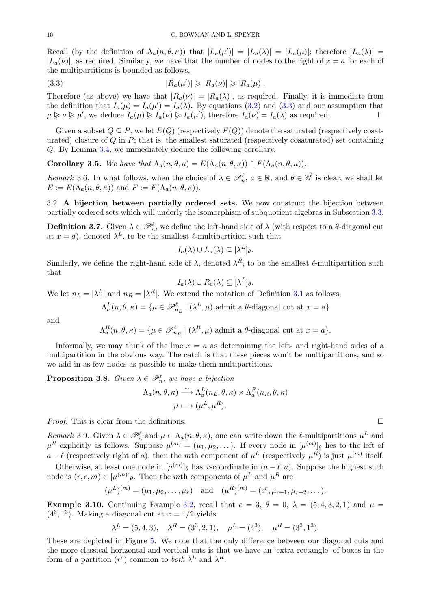<span id="page-10-1"></span>Recall (by the definition of  $\Lambda_a(n,\theta,\kappa)$ ) that  $|L_a(\mu')| = |L_a(\lambda)| = |L_a(\mu)|$ ; therefore  $|L_a(\lambda)| =$  $|L_a(\nu)|$ , as required. Similarly, we have that the number of nodes to the right of  $x = a$  for each of the multipartitions is bounded as follows,

$$
(3.3) \t\t\t |R_a(\mu')| \geqslant |R_a(\nu)| \geqslant |R_a(\mu)|.
$$

Therefore (as above) we have that  $|R_a(\nu)| = |R_a(\lambda)|$ , as required. Finally, it is immediate from the definition that  $I_a(\mu) = I_a(\mu') = I_a(\lambda)$ . By equations [\(3.2\)](#page-8-3) and [\(3.3\)](#page-9-1) and our assumption that  $\mu \geq \nu \geq \mu'$ , we deduce  $I_a(\mu) \geq I_a(\nu) \geq I_a(\mu')$ , therefore  $I_a(\nu) = I_a(\lambda)$  as required.

<span id="page-10-0"></span>Given a subset  $Q \subseteq P$ , we let  $E(Q)$  (respectively  $F(Q)$ ) denote the saturated (respectively cosaturated) closure of  $Q$  in  $P$ ; that is, the smallest saturated (respectively cosaturated) set containing Q. By Lemma [3.4,](#page-8-4) we immediately deduce the following corollary.

**Corollary 3.5.** We have that  $\Lambda_a(n, \theta, \kappa) = E(\Lambda_a(n, \theta, \kappa)) \cap F(\Lambda_a(n, \theta, \kappa)).$ 

Remark 3.6. In what follows, when the choice of  $\lambda \in \mathcal{P}_n^{\ell}$ ,  $a \in \mathbb{R}$ , and  $\theta \in \mathbb{Z}^{\ell}$  is clear, we shall let  $E := E(\Lambda_a(n, \theta, \kappa))$  and  $F := F(\Lambda_a(n, \theta, \kappa)).$ 

3.2. A bijection between partially ordered sets. We now construct the bijection between partially ordered sets which will underly the isomorphism of subquotient algebras in Subsection [3.3.](#page-10-0)

**Definition 3.7.** Given  $\lambda \in \mathscr{P}_n^{\ell}$ , we define the left-hand side of  $\lambda$  (with respect to a  $\theta$ -diagonal cut at  $x = a$ , denoted  $\lambda^L$ , to be the smallest  $\ell$ -multipartition such that

$$
I_a(\lambda) \cup L_a(\lambda) \subseteq [\lambda^L]_\theta.
$$

Similarly, we define the right-hand side of  $\lambda$ , denoted  $\lambda^R$ , to be the smallest  $\ell$ -multipartition such that

$$
I_a(\lambda) \cup R_a(\lambda) \subseteq [\lambda^L]_\theta.
$$

We let  $n_L = |\lambda^L|$  and  $n_R = |\lambda^R|$ . We extend the notation of Definition [3.1](#page-8-0) as follows,

 $\Lambda_a^L(n, \theta, \kappa) = \{ \mu \in \mathscr{P}_{n_L}^{\ell} \mid (\lambda^L, \mu) \text{ admit a } \theta \text{-diagonal cut at } x = a \}$ 

<span id="page-10-3"></span>and

 $\Lambda_a^R(n,\theta,\kappa) = \{\mu \in \mathscr{P}_{n_R}^{\ell} \mid (\lambda^R, \mu) \text{ admit a } \theta\text{-diagonal cut at } x = a\}.$ 

Informally, we may think of the line  $x = a$  as determining the left- and right-hand sides of a multipartition in the obvious way. The catch is that these pieces won't be multipartitions, and so we add in as few nodes as possible to make them multipartitions.

**Proposition 3.8.** Given  $\lambda \in \mathcal{P}_n^{\ell}$ , we have a bijection

$$
\Lambda_a(n,\theta,\kappa) \xrightarrow{\sim} \Lambda_a^L(n_L,\theta,\kappa) \times \Lambda_a^R(n_R,\theta,\kappa)
$$

$$
\mu \longmapsto (\mu^L,\mu^R).
$$

*Proof.* This is clear from the definitions.

Remark 3.9. Given  $\lambda \in \mathcal{P}_n^{\ell}$  and  $\mu \in \Lambda_a(n, \theta, \kappa)$ , one can write down the  $\ell$ -multipartitions  $\mu^L$  and  $\mu^R$  explicitly as follows. Suppose  $\mu^{(m)} = (\mu_1, \mu_2, \dots)$ . If every node in  $[\mu^{(m)}]_\theta$  lies to the left of  $a-\ell$  (respectively right of a), then the mth component of  $\mu^L$  (respectively  $\mu^R$ ) is just  $\mu^{(m)}$  itself.

Otherwise, at least one node in  $[\mu^{(m)}]_{\theta}$  has x-coordinate in  $(a - \ell, a)$ . Suppose the highest such node is  $(r, c, m) \in [\mu^{(m)}]_\theta$ . Then the mth components of  $\mu^L$  and  $\mu^R$  are

$$
(\mu^{L})^{(m)} = (\mu_1, \mu_2, \dots, \mu_r)
$$
 and  $(\mu^{R})^{(m)} = (c^{r}, \mu_{r+1}, \mu_{r+2}, \dots).$ 

**Example 3.10.** Continuing Example [3.2,](#page-8-5) recall that  $e = 3$ ,  $\theta = 0$ ,  $\lambda = (5, 4, 3, 2, 1)$  and  $\mu =$  $(4^3, 1^3)$ . Making a diagonal cut at  $x = 1/2$  yields

<span id="page-10-2"></span>
$$
\lambda^L = (5, 4, 3), \quad \lambda^R = (3^3, 2, 1), \quad \mu^L = (4^3), \quad \mu^R = (3^3, 1^3).
$$

These are depicted in Figure [5.](#page-10-1) We note that the only difference between our diagonal cuts and the more classical horizontal and vertical cuts is that we have an 'extra rectangle' of boxes in the form of a partition  $(r^c)$  common to *both*  $\lambda^L$  and  $\lambda^R$ .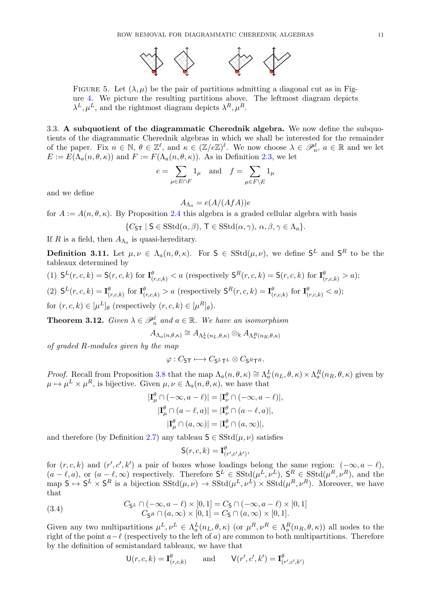

<span id="page-11-0"></span>FIGURE 5. Let  $(\lambda, \mu)$  be the pair of partitions admitting a diagonal cut as in Figure [4.](#page-8-2) We picture the resulting partitions above. The leftmost diagram depicts  $\lambda^L, \mu^L$ , and the rightmost diagram depicts  $\lambda^R, \mu^R$ .

3.3. A subquotient of the diagrammatic Cherednik algebra. We now define the subquotients of the diagrammatic Cherednik algebras in which we shall be interested for the remainder of the paper. Fix  $n \in \mathbb{N}$ ,  $\theta \in \mathbb{Z}^{\ell}$ , and  $\kappa \in (\mathbb{Z}/e\mathbb{Z})^{\ell}$ . We now choose  $\lambda \in \mathscr{P}_n^{\ell}$ ,  $a \in \mathbb{R}$  and we let  $E := E(\Lambda_a(n, \theta, \kappa))$  and  $F := F(\Lambda_a(n, \theta, \kappa))$ . As in Definition [2.3,](#page-3-0) we let

$$
e = \sum_{\mu \in E \cap F} 1_{\mu} \quad \text{and} \quad f = \sum_{\mu \in F \backslash E} 1_{\mu}
$$

<span id="page-11-1"></span>and we define

$$
A_{\Lambda_a} = e(A/(AfA))e
$$

for  $A := A(n, \theta, \kappa)$ . By Proposition [2.4](#page-3-1) this algebra is a graded cellular algebra with basis

$$
\{C_{\mathsf{ST}} \mid \mathsf{S} \in \mathrm{SStd}(\alpha, \beta), \mathsf{T} \in \mathrm{SStd}(\alpha, \gamma), \alpha, \beta, \gamma \in \Lambda_a\}.
$$

If R is a field, then  $A_{\Lambda_a}$  is quasi-hereditary.

**Definition 3.11.** Let  $\mu, \nu \in \Lambda_a(n, \theta, \kappa)$ . For  $S \in \text{SStd}(\mu, \nu)$ , we define  $S^L$  and  $S^R$  to be the tableaux determined by

(1) 
$$
S^L(r, c, k) = S(r, c, k)
$$
 for  $\mathbf{I}^{\theta}_{(r, c, k)} < a$  (respectively  $S^R(r, c, k) = S(r, c, k)$  for  $\mathbf{I}^{\theta}_{(r, c, k)} > a$ ); \n(2)  $S^L(r, c, k) = \mathbf{I}^{\theta}_{(r, c, k)}$  for  $\mathbf{I}^{\theta}_{(r, c, k)} > a$  (respectively  $S^R(r, c, k) = \mathbf{I}^{\theta}_{(r, c, k)}$  for  $\mathbf{I}^{\theta}_{(r, c, k)} < a$ );

<span id="page-11-2"></span>for  $(r, c, k) \in [\mu^L]_\theta$  (respectively  $(r, c, k) \in [\mu^R]_\theta$ ).

**Theorem 3.12.** Given  $\lambda \in \mathcal{P}_n^{\ell}$  and  $a \in \mathbb{R}$ . We have an isomorphism

 $A_{\Lambda_a(n,\theta,\kappa)} \cong A_{\Lambda_a^L(n_L,\theta,\kappa)} \otimes_{\Bbbk} A_{\Lambda_a^R(n_R,\theta,\kappa)}$ 

of graded R-modules given by the map

$$
\varphi: C_{\mathsf{ST}} \longmapsto C_{\mathsf{S}^L \mathsf{T}^L} \otimes C_{\mathsf{S}^R \mathsf{T}^R}.
$$

*Proof.* Recall from Proposition [3.8](#page-9-2) that the map  $\Lambda_a(n, \theta, \kappa) \cong \Lambda_a^L(n_L, \theta, \kappa) \times \Lambda_a^R(n_R, \theta, \kappa)$  given by  $\mu \mapsto \mu^L \times \mu^R$ , is bijective. Given  $\mu, \nu \in \Lambda_a(n, \theta, \kappa)$ , we have that

$$
|\mathbf{I}_{\mu}^{\theta} \cap (-\infty, a - \ell)| = |\mathbf{I}_{\nu}^{\theta} \cap (-\infty, a - \ell)|,
$$
  

$$
|\mathbf{I}_{\mu}^{\theta} \cap (a - \ell, a)| = |\mathbf{I}_{\nu}^{\theta} \cap (a - \ell, a)|,
$$
  

$$
|\mathbf{I}_{\mu}^{\theta} \cap (a, \infty)| = |\mathbf{I}_{\nu}^{\theta} \cap (a, \infty)|,
$$

and therefore (by Definition [2.7\)](#page-4-0) any tableau  $S \in SStd(\mu, \nu)$  satisfies

$$
\mathsf{S}(r,c,k) = \mathbf{I}^{\theta}_{(r',c',k')},
$$

<span id="page-11-3"></span>for  $(r, c, k)$  and  $(r', c', k')$  a pair of boxes whose loadings belong the same region:  $(-\infty, a - \ell)$ ,  $(a - \ell, a)$ , or  $(a - \ell, \infty)$  respectively. Therefore  $S^L \in \text{SStd}(\mu^L, \nu^L)$ ,  $S^R \in \text{SStd}(\mu^R, \nu^R)$ , and the map  $S \mapsto S^L \times S^R$  is a bijection  $\text{SStd}(\mu, \nu) \to \text{SStd}(\mu^L, \nu^L) \times \text{SStd}(\mu^R, \nu^R)$ . Moreover, we have that

(3.4) 
$$
C_{\mathsf{S}^L} \cap (-\infty, a - \ell) \times [0, 1] = C_{\mathsf{S}} \cap (-\infty, a - \ell) \times [0, 1] C_{\mathsf{S}^R} \cap (a, \infty) \times [0, 1] = C_{\mathsf{S}} \cap (a, \infty) \times [0, 1].
$$

Given any two multipartitions  $\mu^L, \nu^L \in \Lambda_a^L(n_L, \theta, \kappa)$  (or  $\mu^R, \nu^R \in \Lambda_a^R(n_R, \theta, \kappa)$ ) all nodes to the right of the point  $a-\ell$  (respectively to the left of a) are common to both multipartitions. Therefore by the definition of semistandard tableaux, we have that

$$
\mathsf{U}(r,c,k) = \mathbf{I}^{\theta}_{(r,c,k)} \quad \text{and} \quad \mathsf{V}(r',c',k') = \mathbf{I}^{\theta}_{(r',c',k')}
$$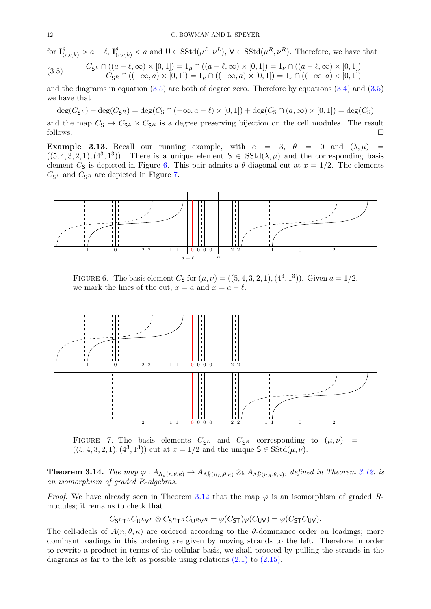<span id="page-12-1"></span>for  $\mathbf{I}^{\theta}_{(r,c,k)} > a - \ell$ ,  $\mathbf{I}^{\theta}_{(r,c,k)} < a$  and  $\mathsf{U} \in \text{SStd}(\mu^L, \nu^L)$ ,  $\mathsf{V} \in \text{SStd}(\mu^R, \nu^R)$ . Therefore, we have that

(3.5) 
$$
C_{\mathsf{S}^L} \cap ((a - \ell, \infty) \times [0, 1]) = 1_{\mu} \cap ((a - \ell, \infty) \times [0, 1]) = 1_{\nu} \cap ((a - \ell, \infty) \times [0, 1])
$$

$$
C_{\mathsf{S}^R} \cap ((-\infty, a) \times [0, 1]) = 1_{\mu} \cap ((-\infty, a) \times [0, 1]) = 1_{\nu} \cap ((-\infty, a) \times [0, 1])
$$

and the diagrams in equation  $(3.5)$  are both of degree zero. Therefore by equations  $(3.4)$  and  $(3.5)$ we have that

 $\deg(C_{\mathsf{S}^L}) + \deg(C_{\mathsf{S}^R}) = \deg(C_{\mathsf{S}} \cap (-\infty, a - \ell) \times [0, 1]) + \deg(C_{\mathsf{S}} \cap (a, \infty) \times [0, 1]) = \deg(C_{\mathsf{S}})$ 

and the map  $C_S \mapsto C_{S^L} \times C_{S^R}$  is a degree preserving bijection on the cell modules. The result follows. follows.  $\Box$ 

**Example 3.13.** Recall our running example, with  $e = 3$ ,  $\theta = 0$  and  $(\lambda, \mu) =$  $((5,4,3,2,1),(4^3,1^3))$ . There is a unique element  $S \in SStd(\lambda,\mu)$  and the corresponding basis element  $C_5$  is depicted in Figure [6.](#page-11-1) This pair admits a  $\theta$ -diagonal cut at  $x = 1/2$ . The elements  $C_{\mathsf{S}^L}$  and  $C_{\mathsf{S}^R}$  are depicted in Figure [7.](#page-11-2)



FIGURE 6. The basis element  $C_5$  for  $(\mu, \nu) = ((5, 4, 3, 2, 1), (4^3, 1^3))$ . Given  $a = 1/2$ , we mark the lines of the cut,  $x = a$  and  $x = a - \ell$ .

<span id="page-12-0"></span>

FIGURE 7. The basis elements  $C_{\mathsf{S}^L}$  and  $C_{\mathsf{S}^R}$  corresponding to  $(\mu, \nu)$  =  $((5, 4, 3, 2, 1), (4^3, 1^3))$  cut at  $x = 1/2$  and the unique  $S \in SStd(\mu, \nu)$ .

**Theorem 3.14.** The map  $\varphi: A_{\Lambda_a(n,\theta,\kappa)} \to A_{\Lambda_a^L(n_L,\theta,\kappa)} \otimes_{\Bbbk} A_{\Lambda_a^R(n_R,\theta,\kappa)}$ , defined in Theorem [3.12,](#page-10-3) is an isomorphism of graded R-algebras.

*Proof.* We have already seen in Theorem [3.12](#page-10-3) that the map  $\varphi$  is an isomorphism of graded Rmodules; it remains to check that

$$
C_{\mathsf{S}^L\mathsf{T}^L}C_{\mathsf{U}^L\mathsf{V}^L}\otimes C_{\mathsf{S}^R\mathsf{T}^R}C_{\mathsf{U}^R\mathsf{V}^R}=\varphi(C_{\mathsf{S}\mathsf{T}})\varphi(C_{\mathsf{U}\mathsf{V}})=\varphi(C_{\mathsf{S}\mathsf{T}}C_{\mathsf{U}\mathsf{V}}).
$$

The cell-ideals of  $A(n, \theta, \kappa)$  are ordered according to the  $\theta$ -dominance order on loadings; more dominant loadings in this ordering are given by moving strands to the left. Therefore in order to rewrite a product in terms of the cellular basis, we shall proceed by pulling the strands in the diagrams as far to the left as possible using relations  $(2.1)$  to  $(2.15)$ .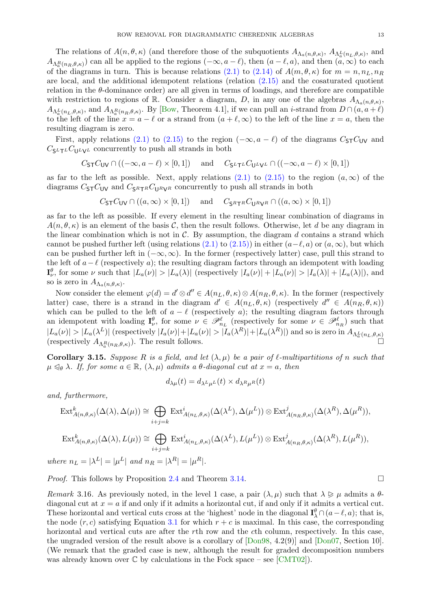<span id="page-13-1"></span>The relations of  $A(n, \theta, \kappa)$  (and therefore those of the subquotients  $A_{\Lambda_a(n, \theta, \kappa)}$ ,  $A_{\Lambda_a^L(n_L, \theta, \kappa)}$ , and  $A_{\Lambda_a^R(n_R,\theta,\kappa)}$  can all be applied to the regions  $(-\infty, a-\ell)$ , then  $(a-\ell, a)$ , and then  $(a,\infty)$  to each of the diagrams in turn. This is because relations [\(2.1\)](#page-5-1) to [\(2.14\)](#page-6-4) of  $A(m, \theta, \kappa)$  for  $m = n, n<sub>L</sub>, n<sub>R</sub>$ are local, and the additional idempotent relations (relation [\(2.15\)](#page-6-3) and the cosaturated quotient relation in the  $\theta$ -dominance order) are all given in terms of loadings, and therefore are compatible with restriction to regions of R. Consider a diagram, D, in any one of the algebras  $A_{\Lambda_a(n,\theta,\kappa)}$ ,  $A_{\Lambda_a^L(n_L,\theta,\kappa)}$ , and  $A_{\Lambda_a^R(n_R,\theta,\kappa)}$ . By [\[Bow,](#page-14-26) Theorem 4.1], if we can pull an *i*-strand from  $D \cap (a,a+\ell)$ to the left of the line  $x = a - \ell$  or a strand from  $(a + \ell, \infty)$  to the left of the line  $x = a$ , then the resulting diagram is zero.

First, apply relations [\(2.1\)](#page-5-1) to [\(2.15\)](#page-6-3) to the region ( $-\infty$ ,  $a - \ell$ ) of the diagrams  $C_{\text{ST}}C_{\text{UV}}$  and  $C_{\mathsf{S}^L\mathsf{T}^L}C_{\mathsf{U}^L\mathsf{V}^L}$  concurrently to push all strands in both

$$
C_{\text{ST}}C_{\text{UV}} \cap ((-\infty, a - \ell) \times [0, 1]) \quad \text{and} \quad C_{\text{SLT}}C_{\text{ULVL}} \cap ((-\infty, a - \ell) \times [0, 1])
$$

as far to the left as possible. Next, apply relations  $(2.1)$  to  $(2.15)$  to the region  $(a, \infty)$  of the diagrams  $C_{\text{ST}}C_{\text{UV}}$  and  $C_{\text{SRTR}}C_{\text{URVR}}$  concurrently to push all strands in both

$$
C_{\text{ST}}C_{\text{UV}} \cap ((a,\infty) \times [0,1]) \quad \text{and} \quad C_{\text{S}^R \text{T}^R}C_{\text{U}^R \text{V}^R} \cap ((a,\infty) \times [0,1])
$$

as far to the left as possible. If every element in the resulting linear combination of diagrams in  $A(n, \theta, \kappa)$  is an element of the basis C, then the result follows. Otherwise, let d be any diagram in the linear combination which is not in  $\mathcal{C}$ . By assumption, the diagram d contains a strand which cannot be pushed further left (using relations [\(2.1\)](#page-5-1) to [\(2.15\)\)](#page-6-3) in either  $(a-\ell, a)$  or  $(a, \infty)$ , but which can be pushed further left in  $(-\infty, \infty)$ . In the former (respectively latter) case, pull this strand to the left of  $a-\ell$  (respectively a); the resulting diagram factors through an idempotent with loading  $\mathbf{I}_{\nu}^{\theta}$ , for some  $\nu$  such that  $|L_a(\nu)| > |L_a(\lambda)|$  (respectively  $|I_a(\nu)| + |L_a(\nu)| > |I_a(\lambda)| + |L_a(\lambda)|$ ), and so is zero in  $A_{\Lambda_a(n,\theta,\kappa)}$ .

Now consider the element  $\varphi(d) = d' \otimes d'' \in A(n_L, \theta, \kappa) \otimes A(n_R, \theta, \kappa)$ . In the former (respectively latter) case, there is a strand in the diagram  $d' \in A(n_L, \theta, \kappa)$  (respectively  $d'' \in A(n_R, \theta, \kappa)$ ) which can be pulled to the left of  $a - \ell$  (respectively a); the resulting diagram factors through an idempotent with loading  $\mathbf{I}_{\nu}^{\theta}$ , for some  $\nu \in \mathscr{P}_{n_l}^{\ell}$  (respectively for some  $\nu \in \mathscr{P}_{n_l}^{\ell}$ ) such that  $|L_a(\nu)|>|L_a(\lambda^L)|$  (respectively  $|I_a(\nu)|+|L_a(\nu)|>|I_a(\lambda^R)|+|L_a(\lambda^R)|$ ) and so is zero in  $A_{\Lambda_a^L(n_L,\theta,\kappa)}$ (respectively  $A_{\Lambda_a^R(n_R,\theta,\kappa)}$ ). The result follows.

**Corollary 3.15.** Suppose R is a field, and let  $(\lambda, \mu)$  be a pair of  $\ell$ -multipartitions of n such that  $\mu \leq_{\theta} \lambda$ . If, for some  $a \in \mathbb{R}$ ,  $(\lambda, \mu)$  admits a  $\theta$ -diagonal cut at  $x = a$ , then

$$
d_{\lambda\mu}(t) = d_{\lambda^L\mu^L}(t) \times d_{\lambda^R\mu^R}(t)
$$

and, furthermore,

$$
\operatorname{Ext}_{A(n,\theta,\kappa)}^{k}(\Delta(\lambda),\Delta(\mu)) \cong \bigoplus_{i+j=k} \operatorname{Ext}_{A(n_{L},\theta,\kappa)}^{i}(\Delta(\lambda^{L}),\Delta(\mu^{L})) \otimes \operatorname{Ext}_{A(n_{R},\theta,\kappa)}^{j}(\Delta(\lambda^{R}),\Delta(\mu^{R})),
$$
  
\n
$$
\operatorname{Ext}_{A(n,\theta,\kappa)}^{k}(\Delta(\lambda),L(\mu)) \cong \bigoplus_{i+j=k} \operatorname{Ext}_{A(n_{L},\theta,\kappa)}^{i}(\Delta(\lambda^{L}),L(\mu^{L})) \otimes \operatorname{Ext}_{A(n_{R},\theta,\kappa)}^{j}(\Delta(\lambda^{R}),L(\mu^{R})),
$$
  
\nwhere  $n_{L} = |\lambda^{L}| = |\mu^{L}|$  and  $n_{R} = |\lambda^{R}| = |\mu^{R}|$ .

<span id="page-13-0"></span>*Proof.* This follows by Proposition [2.4](#page-3-1) and Theorem [3.14.](#page-11-3)

Remark 3.16. As previously noted, in the level 1 case, a pair  $(\lambda, \mu)$  such that  $\lambda \geq \mu$  admits a  $\theta$ diagonal cut at  $x = a$  if and only if it admits a horizontal cut, if and only if it admits a vertical cut. These horizontal and vertical cuts cross at the 'highest' node in the diagonal  $\mathbf{I}_{\lambda}^{\theta} \cap (a-\ell, a)$ ; that is, the node  $(r, c)$  satisfying Equation [3.1](#page-8-6) for which  $r + c$  is maximal. In this case, the corresponding horizontal and vertical cuts are after the rth row and the cth column, respectively. In this case, the ungraded version of the result above is a corollary of [\[Don98,](#page-14-27) 4.2(9)] and [\[Don07,](#page-14-24) Section 10]. (We remark that the graded case is new, although the result for graded decomposition numbers was already known over  $\mathbb C$  by calculations in the Fock space – see [\[CMT02\]](#page-14-21)).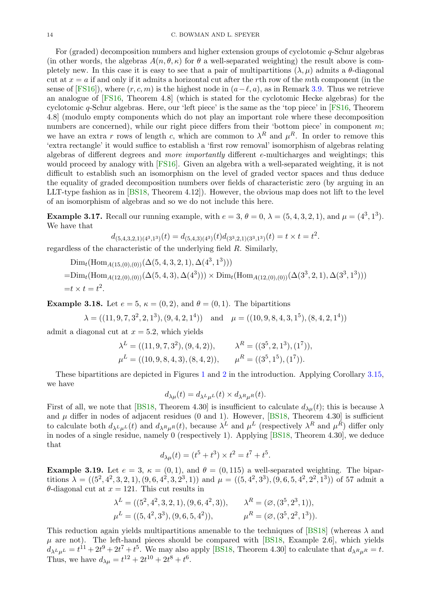<span id="page-14-26"></span><span id="page-14-12"></span><span id="page-14-11"></span><span id="page-14-6"></span><span id="page-14-4"></span><span id="page-14-3"></span>For (graded) decomposition numbers and higher extension groups of cyclotomic q-Schur algebras (in other words, the algebras  $A(n, \theta, \kappa)$  for  $\theta$  a well-separated weighting) the result above is completely new. In this case it is easy to see that a pair of multipartitions  $(\lambda, \mu)$  admits a  $\theta$ -diagonal cut at  $x = a$  if and only if it admits a horizontal cut after the rth row of the mth component (in the sense of [\[FS16\]](#page-14-29)), where  $(r, c, m)$  is the highest node in  $(a-\ell, a)$ , as in Remark [3.9.](#page-9-3) Thus we retrieve an analogue of [\[FS16,](#page-14-29) Theorem 4.8] (which is stated for the cyclotomic Hecke algebras) for the cyclotomic  $q$ -Schur algebras. Here, our 'left piece' is the same as the 'top piece' in  $[FS16, Theorem]$ 4.8] (modulo empty components which do not play an important role where these decomposition numbers are concerned), while our right piece differs from their 'bottom piece' in component  $m$ ; we have an extra r rows of length c, which are common to  $\lambda^R$  and  $\mu^R$ . In order to remove this 'extra rectangle' it would suffice to establish a 'first row removal' isomorphism of algebras relating algebras of different degrees and more importantly different  $e$ -multicharges and weightings; this would proceed by analogy with [\[FS16\]](#page-14-29). Given an algebra with a well-separated weighting, it is not difficult to establish such an isomorphism on the level of graded vector spaces and thus deduce the equality of graded decomposition numbers over fields of characteristic zero (by arguing in an LLT-type fashion as in [\[BS18,](#page-14-7) Theorem 4.12]). However, the obvious map does not lift to the level of an isomorphism of algebras and so we do not include this here.

<span id="page-14-25"></span><span id="page-14-21"></span><span id="page-14-20"></span><span id="page-14-14"></span><span id="page-14-13"></span><span id="page-14-7"></span>**Example 3.17.** Recall our running example, with  $e = 3$ ,  $\theta = 0$ ,  $\lambda = (5, 4, 3, 2, 1)$ , and  $\mu = (4^3, 1^3)$ . We have that

$$
d_{(5,4,3,2,1)(4^3,1^3)}(t) = d_{(5,4,3)(4^3)}(t)d_{(3^3,2,1)(3^3,1^3)}(t) = t \times t = t^2.
$$

<span id="page-14-27"></span><span id="page-14-24"></span>regardless of the characteristic of the underlying field R. Similarly,

 $\text{Dim}_t(\text{Hom}_{A(15,(0),(0))}(\Delta(5,4,3,2,1), \Delta(4^3,1^3)))$ 

 $=\text{Dim}_{t}(\text{Hom}_{A(12,(0),(0))}(\Delta(5,4,3),\Delta(4^3)))\times \text{Dim}_{t}(\text{Hom}_{A(12,(0),(0))}(\Delta(3^3,2,1),\Delta(3^3,1^3)))$  $=t \times t = t^2$ .

<span id="page-14-29"></span><span id="page-14-22"></span><span id="page-14-8"></span>**Example 3.18.** Let  $e = 5$ ,  $\kappa = (0, 2)$ , and  $\theta = (0, 1)$ . The bipartitions

$$
\lambda = ((11, 9, 7, 3^2, 2, 1^3), (9, 4, 2, 1^4))
$$
 and  $\mu = ((10, 9, 8, 4, 3, 1^5), (8, 4, 2, 1^4))$ 

<span id="page-14-16"></span><span id="page-14-15"></span>admit a diagonal cut at  $x = 5.2$ , which yields

$$
\lambda^{L} = ((11, 9, 7, 3^{2}), (9, 4, 2)), \qquad \lambda^{R} = ((3^{5}, 2, 1^{3}), (1^{7})),
$$
  

$$
\mu^{L} = ((10, 9, 8, 4, 3), (8, 4, 2)), \qquad \mu^{R} = ((3^{5}, 1^{5}), (1^{7})).
$$

<span id="page-14-18"></span><span id="page-14-17"></span>These bipartitions are depicted in Figures [1](#page-1-0) and [2](#page-2-0) in the introduction. Applying Corollary [3.15,](#page-12-0) we have

$$
d_{\lambda\mu}(t) = d_{\lambda^L\mu^L}(t) \times d_{\lambda^R\mu^R}(t).
$$

<span id="page-14-19"></span><span id="page-14-9"></span>First of all, we note that [\[BS18,](#page-14-7) Theorem 4.30] is insufficient to calculate  $d_{\lambda\mu}(t)$ ; this is because  $\lambda$ and  $\mu$  differ in nodes of adjacent residues (0 and 1). However, [\[BS18,](#page-14-7) Theorem 4.30] is sufficient to calculate both  $d_{\lambda^L\mu^L}(t)$  and  $d_{\lambda^R\mu^R}(t)$ , because  $\lambda^L$  and  $\mu^L$  (respectively  $\lambda^R$  and  $\mu^R$ ) differ only in nodes of a single residue, namely 0 (respectively 1). Applying [\[BS18,](#page-14-7) Theorem 4.30], we deduce that

$$
d_{\lambda\mu}(t) = (t^5 + t^3) \times t^2 = t^7 + t^5.
$$

<span id="page-14-23"></span><span id="page-14-5"></span><span id="page-14-1"></span><span id="page-14-0"></span>**Example 3.19.** Let  $e = 3$ ,  $\kappa = (0, 1)$ , and  $\theta = (0, 115)$  a well-separated weighting. The bipartitions  $\lambda = ((5^2, 4^2, 3, 2, 1), (9, 6, 4^2, 3, 2^3, 1))$  and  $\mu = ((5, 4^2, 3^3), (9, 6, 5, 4^2, 2^2, 1^3))$  of 57 admit a  $\theta$ -diagonal cut at  $x = 121$ . This cut results in

$$
\lambda^{L} = ((5^{2}, 4^{2}, 3, 2, 1), (9, 6, 4^{2}, 3)), \qquad \lambda^{R} = (\emptyset, (3^{5}, 2^{3}, 1)),
$$
  

$$
\mu^{L} = ((5, 4^{2}, 3^{3}), (9, 6, 5, 4^{2})), \qquad \mu^{R} = (\emptyset, (3^{5}, 2^{2}, 1^{3})).
$$

<span id="page-14-28"></span><span id="page-14-10"></span><span id="page-14-2"></span>This reduction again yields multipartitions amenable to the techniques of [\[BS18\]](#page-14-7) (whereas  $\lambda$  and  $\mu$  are not). The left-hand pieces should be compared with [\[BS18,](#page-14-7) Example 2.6], which yields  $d_{\lambda}L_{\mu}L = t^{11} + 2t^9 + 2t^7 + t^5$ . We may also apply [\[BS18,](#page-14-7) Theorem 4.30] to calculate that  $d_{\lambda}R_{\mu}R = t$ . Thus, we have  $d_{\lambda\mu} = t^{12} + 2t^{10} + 2t^8 + t^6$ .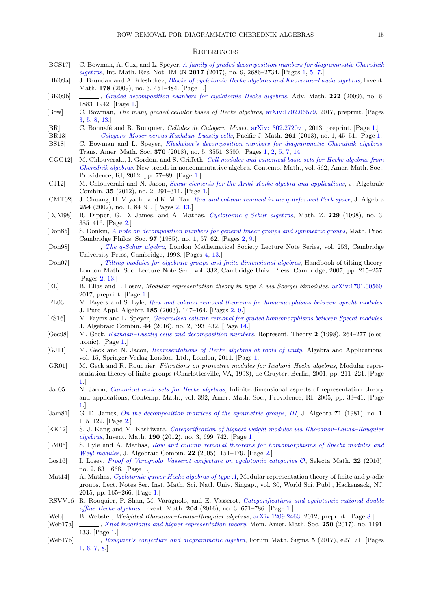#### **REFERENCES**

- <span id="page-15-0"></span>[BCS17] C. Bowman, A. Cox, and L. Speyer, [A family of graded decomposition numbers for diagrammatic Cherednik](http://dx.doi.org/10.1093/imrn/rnw101) [algebras](http://dx.doi.org/10.1093/imrn/rnw101), Int. Math. Res. Not. IMRN 2017 (2017), no. 9, 2686–2734. [Pages [1,](#page-0-0) [5,](#page-4-1) [7.](#page-6-5)]
- [BK09a] J. Brundan and A. Kleshchev, [Blocks of cyclotomic Hecke algebras and Khovanov–Lauda algebras](http://dx.doi.org/10.1007/s00222-009-0204-8), Invent. Math. **178** (2009), no. 3, 451–484. [Page [1.](#page-0-0)]
- [BK09b] , [Graded decomposition numbers for cyclotomic Hecke algebras](http://dx.doi.org/10.1016/j.aim.2009.06.018), Adv. Math. 222 (2009), no. 6, 1883–1942. [Page [1.](#page-0-0)]
- [Bow] C. Bowman, The many graded cellular bases of Hecke algebras, [arXiv:1702.06579,](https://arxiv.org/abs/1702.06579) 2017, preprint. [Pages [3,](#page-2-2) [5,](#page-4-1) [8,](#page-7-0) [13.](#page-12-1)]
- [BR] C. Bonnafé and R. Rouquier, *Cellules de Calogero–Moser*, [arXiv:1302.2720v1,](http://arxiv.org/abs/1302.2720) 2013, preprint. [Page [1.](#page-0-0)]
- [BR13] [Calogero–Moser versus Kazhdan–Lusztig cells](https://doi.org/10.2140/pjm.2013.261.45), Pacific J. Math. 261 (2013), no. 1, 45–51. [Page [1.](#page-0-0)] [BS18] C. Bowman and L. Speyer, [Kleshchev's decomposition numbers for diagrammatic Cherednik algebras](https://doi.org/10.1090/tran/7054), Trans. Amer. Math. Soc. 370 (2018), no. 5, 3551–3590. [Pages [1,](#page-0-0) [2,](#page-1-1) [5,](#page-4-1) [7,](#page-6-5) [14.](#page-13-1)]
- [CGG12] M. Chlouveraki, I. Gordon, and S. Griffeth, [Cell modules and canonical basic sets for Hecke algebras from](https://doi.org/10.1090/conm/562/11131) [Cherednik algebras](https://doi.org/10.1090/conm/562/11131), New trends in noncommutative algebra, Contemp. Math., vol. 562, Amer. Math. Soc., Providence, RI, 2012, pp. 77–89. [Page [1.](#page-0-0)]
- [CJ12] M. Chlouveraki and N. Jacon, [Schur elements for the Ariki–Koike algebra and applications](https://doi.org/10.1007/s10801-011-0314-4), J. Algebraic Combin. 35 (2012), no. 2, 291–311. [Page [1.](#page-0-0)]
- [CMT02] J. Chuang, H. Miyachi, and K. M. Tan, [Row and column removal in the](http://dx.doi.org/10.1016/S0021-8693(02)00062-5) q-deformed Fock space, J. Algebra 254 (2002), no. 1, 84–91. [Pages [2,](#page-1-1) [13.](#page-12-1)]
- [DJM98] R. Dipper, G. D. James, and A. Mathas, Cyclotomic q[-Schur algebras](http://dx.doi.org/10.1007/PL00004665), Math. Z. 229 (1998), no. 3, 385–416. [Page [2.](#page-1-1)]
- [Don85] S. Donkin, [A note on decomposition numbers for general linear groups and symmetric groups](http://dx.doi.org/10.1017/S0305004100062575), Math. Proc. Cambridge Philos. Soc. 97 (1985), no. 1, 57–62. [Pages [2,](#page-1-1) [9.](#page-8-7)]
- [Don98] , The q[-Schur algebra](http://dx.doi.org/10.1017/CBO9780511600708), London Mathematical Society Lecture Note Series, vol. 253, Cambridge University Press, Cambridge, 1998. [Pages [4,](#page-3-2) [13.](#page-12-1)]
- [Don07] , [Tilting modules for algebraic groups and finite dimensional](http://dx.doi.org/10.1017/CBO9780511735134.009) algebras, Handbook of tilting theory, London Math. Soc. Lecture Note Ser., vol. 332, Cambridge Univ. Press, Cambridge, 2007, pp. 215–257. [Pages [2,](#page-1-1) [13.](#page-12-1)]
- [EL] B. Elias and I. Losev, Modular representation theory in type A via Soergel bimodules, [arXiv:1701.00560,](https://arxiv.org/abs/1701.00560) 2017, preprint. [Page [1.](#page-0-0)]
- [FL03] M. Fayers and S. Lyle, [Row and column removal theorems for homomorphisms between Specht modules](http://dx.doi.org/10.1016/S0022-4049(03)00099-9), J. Pure Appl. Algebra 185 (2003), 147–164. [Pages [2,](#page-1-1) [9.](#page-8-7)]
- [FS16] M. Fayers and L. Speyer, [Generalised column removal for graded homomorphisms between Specht modules](https://doi.org/10.1007/s10801-016-0674-x), J. Algebraic Combin. 44 (2016), no. 2, 393–432. [Page [14.](#page-13-1)]
- [Gec98] M. Geck, [Kazhdan–Lusztig cells and decomposition numbers](https://doi.org/10.1090/S1088-4165-98-00042-9), Represent. Theory 2 (1998), 264–277 (electronic). [Page [1.](#page-0-0)]
- [GJ11] M. Geck and N. Jacon, [Representations of Hecke algebras at roots of unity](http://dx.doi.org/10.1007/978-0-85729-716-7), Algebra and Applications, vol. 15, Springer-Verlag London, Ltd., London, 2011. [Page [1.](#page-0-0)]
- [GR01] M. Geck and R. Rouquier, Filtrations on projective modules for Iwahori–Hecke algebras, Modular representation theory of finite groups (Charlottesville, VA, 1998), de Gruyter, Berlin, 2001, pp. 211–221. [Page [1.](#page-0-0)]
- [Jac05] N. Jacon, *[Canonical basic sets for Hecke algebras](https://doi.org/10.1090/conm/392/07351)*, Infinite-dimensional aspects of representation theory and applications, Contemp. Math., vol. 392, Amer. Math. Soc., Providence, RI, 2005, pp. 33–41. [Page [1.](#page-0-0)]
- [Jam81] G. D. James, [On the decomposition matrices of the symmetric groups, III](http://dx.doi.org/10.1016/0021-8693(81)90108-3), J. Algebra 71 (1981), no. 1, 115–122. [Page [2.](#page-1-1)]
- [KK12] S.-J. Kang and M. Kashiwara, [Categorification of highest weight modules via Khovanov–Lauda–Rouquier](http://dx.doi.org/10.1007/s00222-012-0388-1) [algebras](http://dx.doi.org/10.1007/s00222-012-0388-1), Invent. Math. 190 (2012), no. 3, 699–742. [Page [1.](#page-0-0)]
- [LM05] S. Lyle and A. Mathas, [Row and column removal theorems for homomorphisms of Specht](http://dx.doi.org/10.1007/s10801-005-2511-5) modules and [Weyl modules](http://dx.doi.org/10.1007/s10801-005-2511-5), J. Algebraic Combin. 22 (2005), 151–179. [Page [2.](#page-1-1)]
- [Los16] I. Losev, [Proof of Varagnolo–Vasserot conjecture on cyclotomic categories](http://dx.doi.org/10.1007/s00029-015-0209-7)  $\mathcal{O}$ , Selecta Math. 22 (2016), no. 2, 631–668. [Page [1.](#page-0-0)]
- [Mat14] A. Mathas, *[Cyclotomic quiver Hecke algebras of type](http://dx.doi.org/10.1142/9789814651813_0005) A*, Modular representation theory of finite and *p*-adic groups, Lect. Notes Ser. Inst. Math. Sci. Natl. Univ. Singap., vol. 30, World Sci. Publ., Hackensack, NJ, 2015, pp. 165–266. [Page [1.](#page-0-0)]
- [RSVV16] R. Rouquier, P. Shan, M. Varagnolo, and E. Vasserot, [Categorifications and cyclotomic rational double](http://dx.doi.org/10.1007/s00222-015-0623-7) [affine Hecke algebras](http://dx.doi.org/10.1007/s00222-015-0623-7), Invent. Math. 204 (2016), no. 3, 671–786. [Page [1.](#page-0-0)]
- [Web] B. Webster, Weighted Khovanov–Lauda–Rouquier algebras, [arXiv:1209.2463,](http://arxiv.org/abs/1209.2463) 2012, preprint. [Page [8.](#page-7-0)]
- [Web17a] , [Knot invariants and higher representation theory](https://doi.org/10.1090/memo/1191), Mem. Amer. Math. Soc. 250 (2017), no. 1191, 133. [Page [1.](#page-0-0)]
- [Web17b] , [Rouquier's conjecture and diagrammatic algebra](https://doi.org/10.1017/fms.2017.17), Forum Math. Sigma 5 (2017), e27, 71. [Pages] [1,](#page-0-0) [6,](#page-5-3) [7,](#page-6-5) [8.](#page-7-0)]